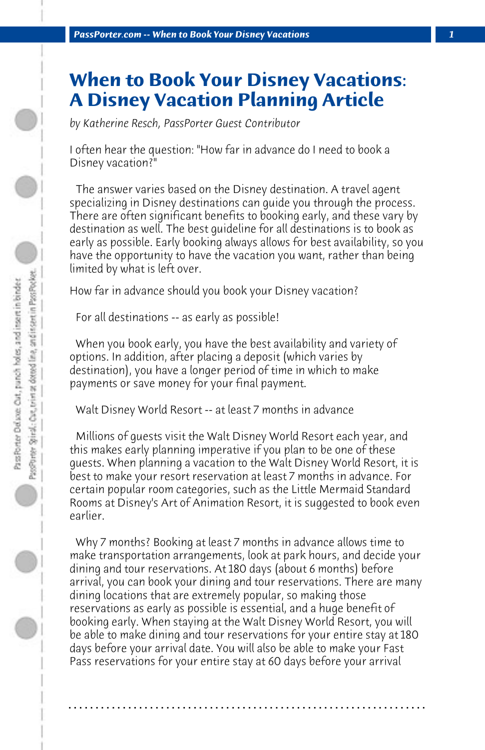## **When to Book Your Disney Vacations: A Disney Vacation Planning Article**

*by Katherine Resch, PassPorter Guest Contributor*

I often hear the question: "How far in advance do I need to book a Disney vacation?"

 The answer varies based on the Disney destination. A travel agent specializing in Disney destinations can guide you through the process. There are often significant benefits to booking early, and these vary by destination as well. The best guideline for all destinations is to book as early as possible. Early booking always allows for best availability, so you have the opportunity to have the vacation you want, rather than being limited by what is left over.

How far in advance should you book your Disney vacation?

 For all destinations -- as early as possible!

 When you book early, you have the best availability and variety of options. In addition, after placing a deposit (which varies by destination), you have a longer period of time in which to make payments or save money for your final payment.

 Walt Disney World Resort -- at least 7 months in advance

 Millions of guests visit the Walt Disney World Resort each year, and this makes early planning imperative if you plan to be one of these guests. When planning a vacation to the Walt Disney World Resort, it is best to make your resort reservation at least 7 months in advance. For certain popular room categories, such as the Little Mermaid Standard Rooms at Disney's Art of Animation Resort, it is suggested to book even earlier.

 Why 7 months? Booking at least 7 months in advance allows time to make transportation arrangements, look at park hours, and decide your dining and tour reservations. At 180 days (about 6 months) before arrival, you can book your dining and tour reservations. There are many dining locations that are extremely popular, so making those reservations as early as possible is essential, and a huge benefit of booking early. When staying at the Walt Disney World Resort, you will be able to make dining and tour reservations for your entire stay at 180 days before your arrival date. You will also be able to make your Fast Pass reservations for your entire stay at 60 days before your arrival

**. . . . . . . . . . . . . . . . . . . . . . . . . . . . . . . . . . . . . . . . . . . . . . . . . . . . . . . . . . . . . . . . . .**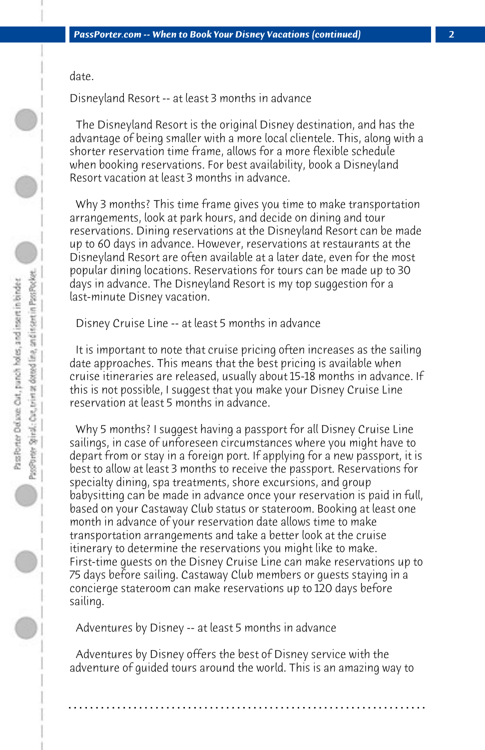date.

Disneyland Resort -- at least 3 months in advance

 The Disneyland Resort is the original Disney destination, and has the advantage of being smaller with a more local clientele. This, along with a shorter reservation time frame, allows for a more flexible schedule when booking reservations. For best availability, book a Disneyland Resort vacation at least 3 months in advance.

 Why 3 months? This time frame gives you time to make transportation arrangements, look at park hours, and decide on dining and tour reservations. Dining reservations at the Disneyland Resort can be made up to 60 days in advance. However, reservations at restaurants at the Disneyland Resort are often available at a later date, even for the most popular dining locations. Reservations for tours can be made up to 30 days in advance. The Disneyland Resort is my top suggestion for a last-minute Disney vacation.

 Disney Cruise Line -- at least 5 months in advance

 It is important to note that cruise pricing often increases as the sailing date approaches. This means that the best pricing is available when cruise itineraries are released, usually about 15-18 months in advance. If this is not possible, I suggest that you make your Disney Cruise Line reservation at least 5 months in advance.

 Why 5 months? I suggest having a passport for all Disney Cruise Line sailings, in case of unforeseen circumstances where you might have to depart from or stay in a foreign port. If applying for a new passport, it is best to allow at least 3 months to receive the passport. Reservations for specialty dining, spa treatments, shore excursions, and group babysitting can be made in advance once your reservation is paid in full, based on your Castaway Club status or stateroom. Booking at least one month in advance of your reservation date allows time to make transportation arrangements and take a better look at the cruise itinerary to determine the reservations you might like to make. First-time guests on the Disney Cruise Line can make reservations up to 75 days before sailing. Castaway Club members or guests staying in a concierge stateroom can make reservations up to 120 days before sailing.

 Adventures by Disney -- at least 5 months in advance

 Adventures by Disney offers the best of Disney service with the adventure of guided tours around the world. This is an amazing way to

**. . . . . . . . . . . . . . . . . . . . . . . . . . . . . . . . . . . . . . . . . . . . . . . . . . . . . . . . . . . . . . . . . .**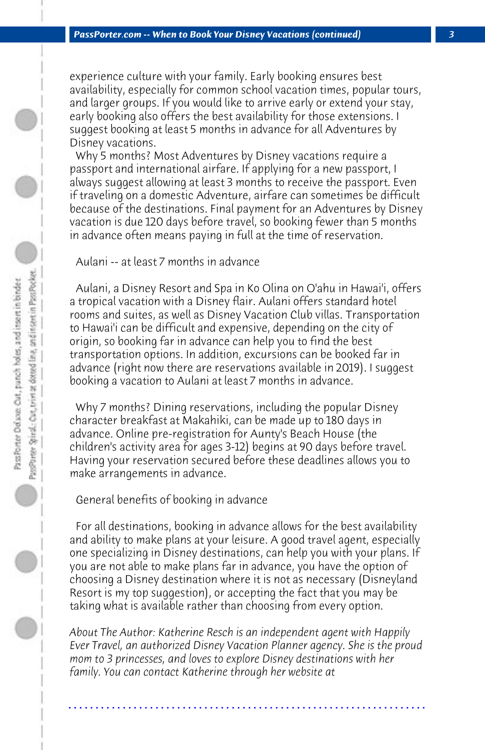experience culture with your family. Early booking ensures best availability, especially for common school vacation times, popular tours, and larger groups. If you would like to arrive early or extend your stay, early booking also offers the best availability for those extensions. I suggest booking at least 5 months in advance for all Adventures by Disney vacations.

 Why 5 months? Most Adventures by Disney vacations require a passport and international airfare. If applying for a new passport, I always suggest allowing at least 3 months to receive the passport. Even if traveling on a domestic Adventure, airfare can sometimes be difficult because of the destinations. Final payment for an Adventures by Disney vacation is due 120 days before travel, so booking fewer than 5 months in advance often means paying in full at the time of reservation.

 Aulani -- at least 7 months in advance

 Aulani, a Disney Resort and Spa in Ko Olina on O'ahu in Hawai'i, offers a tropical vacation with a Disney flair. Aulani offers standard hotel rooms and suites, as well as Disney Vacation Club villas. Transportation to Hawai'i can be difficult and expensive, depending on the city of origin, so booking far in advance can help you to find the best transportation options. In addition, excursions can be booked far in advance (right now there are reservations available in 2019). I suggest booking a vacation to Aulani at least 7 months in advance.

 Why 7 months? Dining reservations, including the popular Disney character breakfast at Makahiki, can be made up to 180 days in advance. Online pre-registration for Aunty's Beach House (the children's activity area for ages 3-12) begins at 90 days before travel. Having your reservation secured before these deadlines allows you to make arrangements in advance.

 General benefits of booking in advance

 For all destinations, booking in advance allows for the best availability and ability to make plans at your leisure. A good travel agent, especially one specializing in Disney destinations, can help you with your plans. If you are not able to make plans far in advance, you have the option of choosing a Disney destination where it is not as necessary (Disneyland Resort is my top suggestion), or accepting the fact that you may be taking what is available rather than choosing from every option.

*About The Author: Katherine Resch is an independent agent with Happily Ever Travel, an authorized Disney Vacation Planner agency. She is the proud mom to 3 princesses, and loves to explore Disney destinations with her family. You can contact Katherine through her website at* 

**. . . . . . . . . . . . . . . . . . . . . . . . . . . . . . . . . . . . . . . . . . . . . . . . . . . . . . . . . . . . . . . . . .**